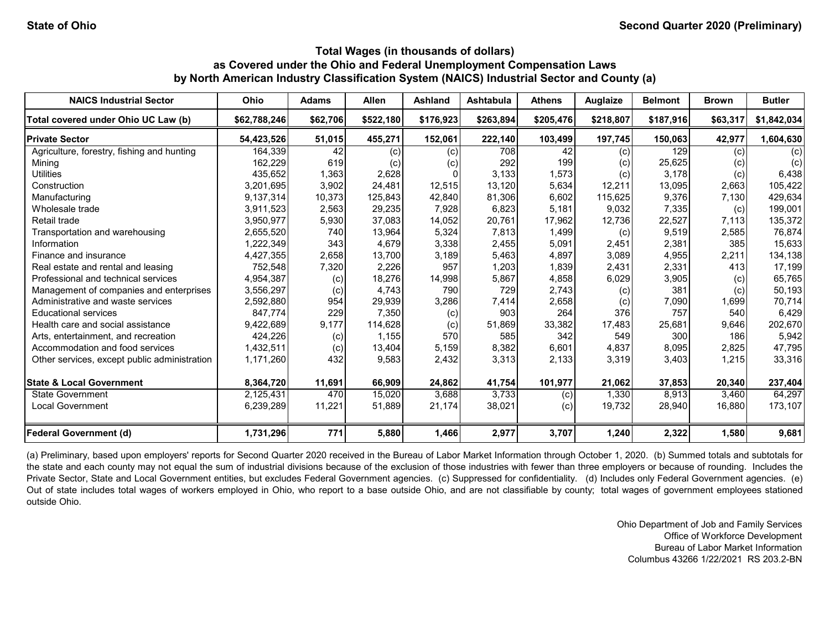| <b>NAICS Industrial Sector</b>               | Ohio         | <b>Adams</b> | <b>Allen</b> | <b>Ashland</b> | Ashtabula | <b>Athens</b> | Auglaize  | <b>Belmont</b> | <b>Brown</b> | <b>Butler</b> |
|----------------------------------------------|--------------|--------------|--------------|----------------|-----------|---------------|-----------|----------------|--------------|---------------|
| Total covered under Ohio UC Law (b)          | \$62,788,246 | \$62,706     | \$522,180    | \$176,923      | \$263,894 | \$205,476     | \$218,807 | \$187,916      | \$63,317     | \$1,842,034   |
| <b>Private Sector</b>                        | 54,423,526   | 51,015       | 455,271      | 152,061        | 222,140   | 103,499       | 197,745   | 150,063        | 42,977       | 1,604,630     |
| Agriculture, forestry, fishing and hunting   | 164,339      | 42           | (c)          | (c)            | 708       | 42            | (c)       | 129            | (c)          | (c)           |
| Mining                                       | 162,229      | 619          | (c)          | (c)            | 292       | 199           | (c)       | 25,625         | (c)          | (c)           |
| <b>Utilities</b>                             | 435,652      | 1,363        | 2,628        |                | 3,133     | 1,573         | (c)       | 3.178          | (c)          | 6,438         |
| Construction                                 | 3,201,695    | 3,902        | 24,481       | 12,515         | 13,120    | 5,634         | 12,211    | 13,095         | 2,663        | 105,422       |
| Manufacturing                                | 9,137,314    | 10,373       | 125,843      | 42,840         | 81,306    | 6,602         | 115,625   | 9,376          | 7,130        | 429,634       |
| Wholesale trade                              | 3,911,523    | 2,563        | 29,235       | 7,928          | 6,823     | 5,181         | 9,032     | 7,335          | (c)          | 199,001       |
| Retail trade                                 | 3,950,977    | 5,930        | 37,083       | 14,052         | 20,761    | 17,962        | 12,736    | 22,527         | 7,113        | 135,372       |
| Transportation and warehousing               | 2,655,520    | 740          | 13,964       | 5,324          | 7,813     | 1,499         | (c)       | 9,519          | 2,585        | 76,874        |
| Information                                  | 1,222,349    | 343          | 4,679        | 3,338          | 2,455     | 5,091         | 2,451     | 2,381          | 385          | 15,633        |
| Finance and insurance                        | 4,427,355    | 2,658        | 13,700       | 3,189          | 5,463     | 4,897         | 3,089     | 4,955          | 2,211        | 134,138       |
| Real estate and rental and leasing           | 752,548      | 7,320        | 2,226        | 957            | 1,203     | 1,839         | 2,431     | 2,331          | 413          | 17,199        |
| Professional and technical services          | 4,954,387    | (c)          | 18,276       | 14,998         | 5,867     | 4,858         | 6,029     | 3,905          | (c)          | 65,765        |
| Management of companies and enterprises      | 3,556,297    | (c)          | 4,743        | 790            | 729       | 2,743         | (c)       | 381            | (c)          | 50,193        |
| Administrative and waste services            | 2,592,880    | 954          | 29,939       | 3,286          | 7,414     | 2,658         | (c)       | 7,090          | 1,699        | 70,714        |
| <b>Educational services</b>                  | 847,774      | 229          | 7,350        | (c)            | 903       | 264           | 376       | 757            | 540          | 6,429         |
| Health care and social assistance            | 9,422,689    | 9,177        | 114,628      | (c)            | 51,869    | 33,382        | 17,483    | 25,681         | 9,646        | 202,670       |
| Arts, entertainment, and recreation          | 424,226      | (c)          | 1,155        | 570            | 585       | 342           | 549       | 300            | 186          | 5,942         |
| Accommodation and food services              | 1,432,511    | (c)          | 13,404       | 5,159          | 8,382     | 6,601         | 4,837     | 8,095          | 2,825        | 47,795        |
| Other services, except public administration | 1,171,260    | 432          | 9,583        | 2,432          | 3,313     | 2,133         | 3,319     | 3,403          | 1,215        | 33,316        |
| <b>State &amp; Local Government</b>          | 8,364,720    | 11,691       | 66,909       | 24,862         | 41,754    | 101,977       | 21,062    | 37,853         | 20,340       | 237,404       |
| <b>State Government</b>                      | 2,125,431    | 470          | 15,020       | 3,688          | 3,733     | (c)           | 1,330     | 8,913          | 3,460        | 64,297        |
| <b>Local Government</b>                      | 6,239,289    | 11,221       | 51,889       | 21,174         | 38,021    | (c)           | 19,732    | 28,940         | 16,880       | 173,107       |
| <b>Federal Government (d)</b>                | 1,731,296    | 771          | 5,880        | 1,466          | 2,977     | 3,707         | 1,240     | 2,322          | 1,580        | 9,681         |

(a) Preliminary, based upon employers' reports for Second Quarter 2020 received in the Bureau of Labor Market Information through October 1, 2020. (b) Summed totals and subtotals for the state and each county may not equal the sum of industrial divisions because of the exclusion of those industries with fewer than three employers or because of rounding. Includes the Private Sector, State and Local Government entities, but excludes Federal Government agencies. (c) Suppressed for confidentiality. (d) Includes only Federal Government agencies. (e) Out of state includes total wages of workers employed in Ohio, who report to a base outside Ohio, and are not classifiable by county; total wages of government employees stationed outside Ohio.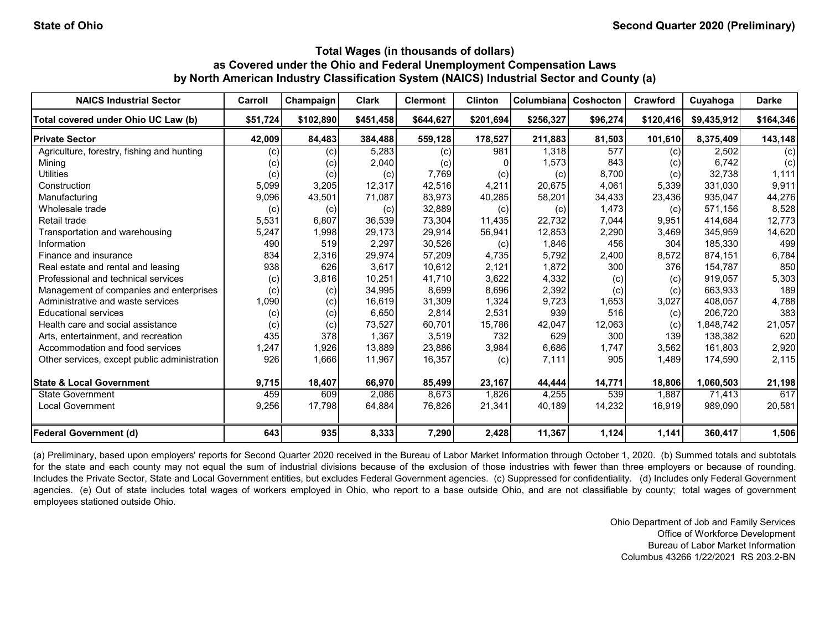| <b>NAICS Industrial Sector</b>               | Carroll  | Champaign | <b>Clark</b> | <b>Clermont</b> | <b>Clinton</b> | Columbiana | Coshocton        | <b>Crawford</b> | Cuyahoga    | <b>Darke</b> |
|----------------------------------------------|----------|-----------|--------------|-----------------|----------------|------------|------------------|-----------------|-------------|--------------|
| Total covered under Ohio UC Law (b)          | \$51,724 | \$102,890 | \$451,458    | \$644,627       | \$201,694      | \$256,327  | \$96,274         | \$120,416       | \$9,435,912 | \$164,346    |
| <b>Private Sector</b>                        | 42,009   | 84,483    | 384,488      | 559,128         | 178,527        | 211,883    | 81,503           | 101,610         | 8,375,409   | 143,148      |
| Agriculture, forestry, fishing and hunting   | (c)      | (c)       | 5,283        | (c)             | 981            | 1,318      | $\overline{577}$ | (c)             | 2,502       | (c)          |
| Mining                                       | (c)      | (c)       | 2,040        | (c)             |                | 1,573      | 843              | (c)             | 6.742       | (c)          |
| <b>Utilities</b>                             | (c)      | (c)       | (c)          | 7,769           | (c)            | (c)        | 8,700            | (c)             | 32.738      | 1,111        |
| Construction                                 | 5,099    | 3,205     | 12,317       | 42,516          | 4,211          | 20,675     | 4,061            | 5,339           | 331,030     | 9,911        |
| Manufacturing                                | 9,096    | 43,501    | 71,087       | 83,973          | 40,285         | 58,201     | 34,433           | 23,436          | 935.047     | 44,276       |
| Wholesale trade                              | (c)      | (c)       | (c)          | 32,889          | (c)            | (c)        | 1,473            | (c)             | 571,156     | 8,528        |
| Retail trade                                 | 5,531    | 6,807     | 36,539       | 73,304          | 11,435         | 22,732     | 7,044            | 9,951           | 414.684     | 12,773       |
| Transportation and warehousing               | 5,247    | 1,998     | 29,173       | 29,914          | 56,941         | 12,853     | 2,290            | 3,469           | 345,959     | 14,620       |
| Information                                  | 490      | 519       | 2,297        | 30,526          | (c)            | 1,846      | 456              | 304             | 185,330     | 499          |
| Finance and insurance                        | 834      | 2,316     | 29,974       | 57,209          | 4,735          | 5,792      | 2,400            | 8,572           | 874,151     | 6,784        |
| Real estate and rental and leasing           | 938      | 626       | 3,617        | 10,612          | 2,121          | 1,872      | 300              | 376             | 154,787     | 850          |
| Professional and technical services          | (c)      | 3,816     | 10,251       | 41,710          | 3,622          | 4,332      | (c)              | (c)             | 919,057     | 5,303        |
| Management of companies and enterprises      | (c)      | (c)       | 34,995       | 8,699           | 8,696          | 2,392      | (c)              | (c)             | 663,933     | 189          |
| Administrative and waste services            | 1,090    | (c)       | 16,619       | 31,309          | 1,324          | 9,723      | 1,653            | 3,027           | 408,057     | 4,788        |
| <b>Educational services</b>                  | (c)      | (c)       | 6,650        | 2,814           | 2,531          | 939        | 516              | (c)             | 206,720     | 383          |
| Health care and social assistance            | (c)      | (c)       | 73,527       | 60,701          | 15,786         | 42,047     | 12,063           | (c)             | 1,848,742   | 21,057       |
| Arts, entertainment, and recreation          | 435      | 378       | 1,367        | 3,519           | 732            | 629        | 300              | 139             | 138,382     | 620          |
| Accommodation and food services              | 1,247    | 1,926     | 13,889       | 23,886          | 3,984          | 6,686      | 1,747            | 3,562           | 161,803     | 2,920        |
| Other services, except public administration | 926      | 1,666     | 11,967       | 16,357          | (c)            | 7,111      | 905              | 1,489           | 174,590     | 2,115        |
| <b>State &amp; Local Government</b>          | 9,715    | 18,407    | 66,970       | 85,499          | 23,167         | 44,444     | 14,771           | 18,806          | 1,060,503   | 21,198       |
| <b>State Government</b>                      | 459      | 609       | 2,086        | 8,673           | 1,826          | 4,255      | 539              | 1,887           | 71,413      | 617          |
| <b>Local Government</b>                      | 9,256    | 17,798    | 64,884       | 76,826          | 21,341         | 40,189     | 14,232           | 16,919          | 989,090     | 20,581       |
| <b>Federal Government (d)</b>                | 643      | 935       | 8,333        | 7,290           | 2,428          | 11,367     | 1,124            | 1,141           | 360,417     | 1,506        |

(a) Preliminary, based upon employers' reports for Second Quarter 2020 received in the Bureau of Labor Market Information through October 1, 2020. (b) Summed totals and subtotals for the state and each county may not equal the sum of industrial divisions because of the exclusion of those industries with fewer than three employers or because of rounding. Includes the Private Sector, State and Local Government entities, but excludes Federal Government agencies. (c) Suppressed for confidentiality. (d) Includes only Federal Government agencies. (e) Out of state includes total wages of workers employed in Ohio, who report to a base outside Ohio, and are not classifiable by county; total wages of government employees stationed outside Ohio.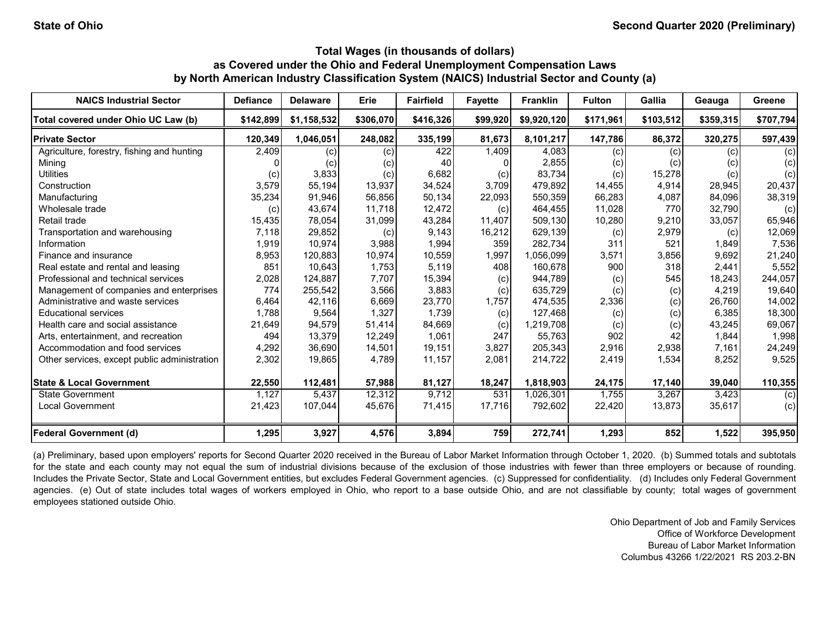| <b>NAICS Industrial Sector</b>               | <b>Defiance</b> | <b>Delaware</b> | <b>Erie</b> | <b>Fairfield</b> | <b>Favette</b> | <b>Franklin</b> | <b>Fulton</b> | Gallia    | Geauga    | Greene    |
|----------------------------------------------|-----------------|-----------------|-------------|------------------|----------------|-----------------|---------------|-----------|-----------|-----------|
| Total covered under Ohio UC Law (b)          | \$142,899       | \$1,158,532     | \$306,070   | \$416,326        | \$99,920       | \$9,920,120     | \$171,961     | \$103,512 | \$359,315 | \$707,794 |
| <b>Private Sector</b>                        | 120,349         | 1,046,051       | 248,082     | 335,199          | 81,673         | 8,101,217       | 147,786       | 86,372    | 320,275   | 597,439   |
| Agriculture, forestry, fishing and hunting   | 2,409           | (c)             | (c)         | 422              | 1,409          | 4,083           | (c)           | (c)       | (c)       | (c)       |
| Mining                                       |                 | (c)             | (c)         | 40               |                | 2,855           | (c)           | (c)       | (c)       | (c)       |
| <b>Utilities</b>                             | (c)             | 3,833           | (c)         | 6,682            | (c)            | 83,734          | (c)           | 15,278    | (c)       | (c)       |
| Construction                                 | 3,579           | 55,194          | 13,937      | 34,524           | 3,709          | 479,892         | 14,455        | 4,914     | 28,945    | 20,437    |
| Manufacturing                                | 35,234          | 91,946          | 56,856      | 50.134           | 22,093         | 550,359         | 66,283        | 4,087     | 84.096    | 38,319    |
| Wholesale trade                              | (c)             | 43,674          | 11,718      | 12,472           | (c)            | 464,455         | 11,028        | 770       | 32,790    | (c)       |
| Retail trade                                 | 15,435          | 78,054          | 31,099      | 43,284           | 11,407         | 509,130         | 10,280        | 9,210     | 33,057    | 65,946    |
| Transportation and warehousing               | 7,118           | 29,852          | (c)         | 9,143            | 16,212         | 629,139         | (c)           | 2,979     | (c)       | 12,069    |
| Information                                  | 1,919           | 10,974          | 3,988       | 1,994            | 359            | 282,734         | 311           | 521       | 1,849     | 7,536     |
| Finance and insurance                        | 8,953           | 120,883         | 10,974      | 10,559           | 1,997          | 1,056,099       | 3,571         | 3,856     | 9,692     | 21,240    |
| Real estate and rental and leasing           | 851             | 10,643          | 1,753       | 5,119            | 408            | 160,678         | 900           | 318       | 2,441     | 5,552     |
| Professional and technical services          | 2,028           | 124,887         | 7,707       | 15,394           | (c)            | 944,789         | (c)           | 545       | 18,243    | 244,057   |
| Management of companies and enterprises      | 774             | 255,542         | 3,566       | 3,883            | (c)            | 635,729         | (c)           | (c)       | 4,219     | 19,640    |
| Administrative and waste services            | 6,464           | 42,116          | 6,669       | 23,770           | 1,757          | 474,535         | 2,336         | (c)       | 26,760    | 14,002    |
| <b>Educational services</b>                  | 1,788           | 9,564           | 1,327       | 1,739            | (c)            | 127,468         | (c)           | (c)       | 6,385     | 18,300    |
| Health care and social assistance            | 21,649          | 94,579          | 51,414      | 84,669           | (c)            | 1,219,708       | (c)           | (c)       | 43,245    | 69,067    |
| Arts, entertainment, and recreation          | 494             | 13,379          | 12,249      | 1,061            | 247            | 55,763          | 902           | 42        | 1.844     | 1,998     |
| Accommodation and food services              | 4,292           | 36,690          | 14,501      | 19,151           | 3,827          | 205,343         | 2,916         | 2,938     | 7,161     | 24,249    |
| Other services, except public administration | 2,302           | 19,865          | 4,789       | 11,157           | 2,081          | 214,722         | 2,419         | 1,534     | 8,252     | 9,525     |
| <b>State &amp; Local Government</b>          | 22,550          | 112,481         | 57,988      | 81,127           | 18,247         | 1,818,903       | 24,175        | 17,140    | 39,040    | 110,355   |
| State Government                             | 1,127           | 5,437           | 12,312      | 9,712            | 531            | 1,026,301       | 1,755         | 3,267     | 3,423     | (c)       |
| Local Government                             | 21,423          | 107,044         | 45,676      | 71,415           | 17,716         | 792,602         | 22,420        | 13,873    | 35,617    | (c)       |
| <b>Federal Government (d)</b>                | 1,295           | 3,927           | 4,576       | 3,894            | 759            | 272,741         | 1,293         | 852       | 1,522     | 395,950   |

(a) Preliminary, based upon employers' reports for Second Quarter 2020 received in the Bureau of Labor Market Information through October 1, 2020. (b) Summed totals and subtotals for the state and each county may not equal the sum of industrial divisions because of the exclusion of those industries with fewer than three employers or because of rounding. Includes the Private Sector, State and Local Government entities, but excludes Federal Government agencies. (c) Suppressed for confidentiality. (d) Includes only Federal Government agencies. (e) Out of state includes total wages of workers employed in Ohio, who report to a base outside Ohio, and are not classifiable by county; total wages of government employees stationed outside Ohio.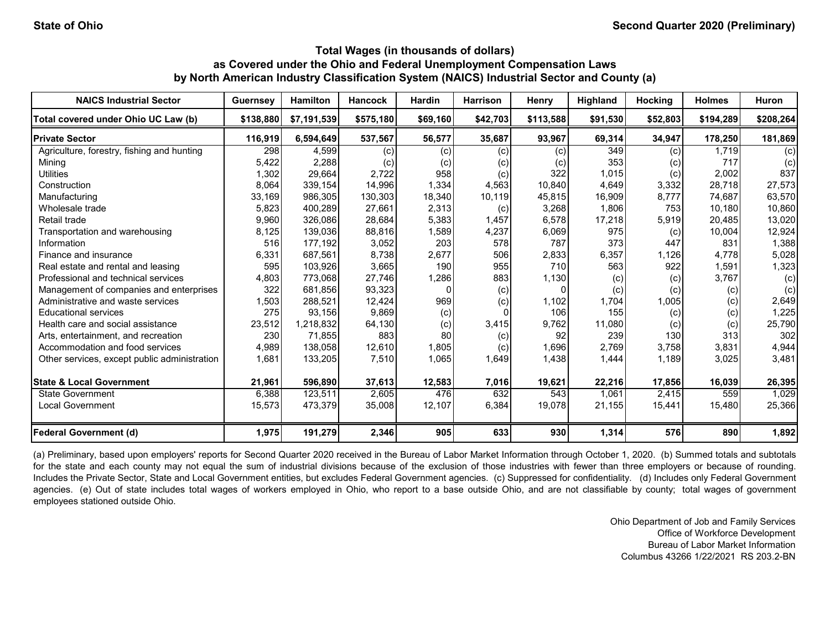| <b>NAICS Industrial Sector</b>               | <b>Guernsey</b> | <b>Hamilton</b> | <b>Hancock</b> | <b>Hardin</b> | <b>Harrison</b> | Henry             | <b>Highland</b> | <b>Hocking</b> | <b>Holmes</b> | <b>Huron</b> |
|----------------------------------------------|-----------------|-----------------|----------------|---------------|-----------------|-------------------|-----------------|----------------|---------------|--------------|
| Total covered under Ohio UC Law (b)          | \$138,880       | \$7,191,539     | \$575,180      | \$69,160      | \$42,703        | \$113,588         | \$91,530        | \$52,803       | \$194,289     | \$208,264    |
| <b>Private Sector</b>                        | 116,919         | 6,594,649       | 537,567        | 56,577        | 35,687          | 93,967            | 69,314          | 34,947         | 178,250       | 181,869      |
| Agriculture, forestry, fishing and hunting   | 298             | 4.599           | (c)            | (c)           | (c)             | (c)               | 349             | (c)            | 1.719         | (c)          |
| Mining                                       | 5,422           | 2,288           | (c)            | (c)           | (c)             | $\left( c\right)$ | 353             | (c)            | 717           | (c)          |
| <b>Utilities</b>                             | 1,302           | 29,664          | 2,722          | 958           | (c)             | 322               | 1,015           | (c)            | 2,002         | 837          |
| Construction                                 | 8,064           | 339,154         | 14,996         | 1,334         | 4,563           | 10,840            | 4,649           | 3,332          | 28,718        | 27,573       |
| Manufacturing                                | 33,169          | 986,305         | 130,303        | 18,340        | 10,119          | 45,815            | 16,909          | 8,777          | 74,687        | 63,570       |
| Wholesale trade                              | 5,823           | 400,289         | 27,661         | 2,313         | (c)             | 3,268             | 1,806           | 753            | 10,180        | 10,860       |
| Retail trade                                 | 9,960           | 326,086         | 28,684         | 5,383         | 1,457           | 6,578             | 17,218          | 5,919          | 20,485        | 13,020       |
| Transportation and warehousing               | 8,125           | 139,036         | 88,816         | 1,589         | 4,237           | 6,069             | 975             | (c)            | 10,004        | 12,924       |
| Information                                  | 516             | 177,192         | 3,052          | 203           | 578             | 787               | 373             | 447            | 831           | 1,388        |
| Finance and insurance                        | 6,331           | 687,561         | 8,738          | 2,677         | 506             | 2,833             | 6,357           | 1,126          | 4,778         | 5,028        |
| Real estate and rental and leasing           | 595             | 103,926         | 3,665          | 190           | 955             | 710               | 563             | 922            | 1,591         | 1,323        |
| Professional and technical services          | 4,803           | 773,068         | 27,746         | 1,286         | 883             | 1,130             | (c)             | (c)            | 3,767         | (c)          |
| Management of companies and enterprises      | 322             | 681.856         | 93,323         |               | (c)             |                   | (c)             | (c)            | (c)           | (c)          |
| Administrative and waste services            | 1,503           | 288,521         | 12,424         | 969           | (c)             | 1,102             | 1,704           | 1,005          | (c)           | 2,649        |
| <b>Educational services</b>                  | 275             | 93.156          | 9,869          | (c)           |                 | 106               | 155             | (c)            | (c)           | 1,225        |
| Health care and social assistance            | 23,512          | 1,218,832       | 64,130         | (c)           | 3,415           | 9,762             | 11,080          | (c)            | (c)           | 25,790       |
| Arts, entertainment, and recreation          | 230             | 71,855          | 883            | 80            | (c)             | 92                | 239             | 130            | 313           | 302          |
| Accommodation and food services              | 4,989           | 138,058         | 12,610         | 1,805         | (c)             | 1,696             | 2,769           | 3,758          | 3,831         | 4,944        |
| Other services, except public administration | 1,681           | 133,205         | 7,510          | 1,065         | 1,649           | 1,438             | 1,444           | 1,189          | 3,025         | 3,481        |
| <b>State &amp; Local Government</b>          | 21,961          | 596,890         | 37,613         | 12,583        | 7,016           | 19,621            | 22,216          | 17,856         | 16,039        | 26,395       |
| State Government                             | 6,388           | 123,511         | 2,605          | 476           | 632             | 543               | 1.061           | 2.415          | 559           | 1,029        |
| <b>Local Government</b>                      | 15,573          | 473,379         | 35,008         | 12,107        | 6,384           | 19,078            | 21,155          | 15,441         | 15,480        | 25,366       |
| <b>Federal Government (d)</b>                | 1,975           | 191,279         | 2,346          | 905           | 633             | 930               | 1,314           | 576            | 890           | 1,892        |

(a) Preliminary, based upon employers' reports for Second Quarter 2020 received in the Bureau of Labor Market Information through October 1, 2020. (b) Summed totals and subtotals for the state and each county may not equal the sum of industrial divisions because of the exclusion of those industries with fewer than three employers or because of rounding. Includes the Private Sector, State and Local Government entities, but excludes Federal Government agencies. (c) Suppressed for confidentiality. (d) Includes only Federal Government agencies. (e) Out of state includes total wages of workers employed in Ohio, who report to a base outside Ohio, and are not classifiable by county; total wages of government employees stationed outside Ohio.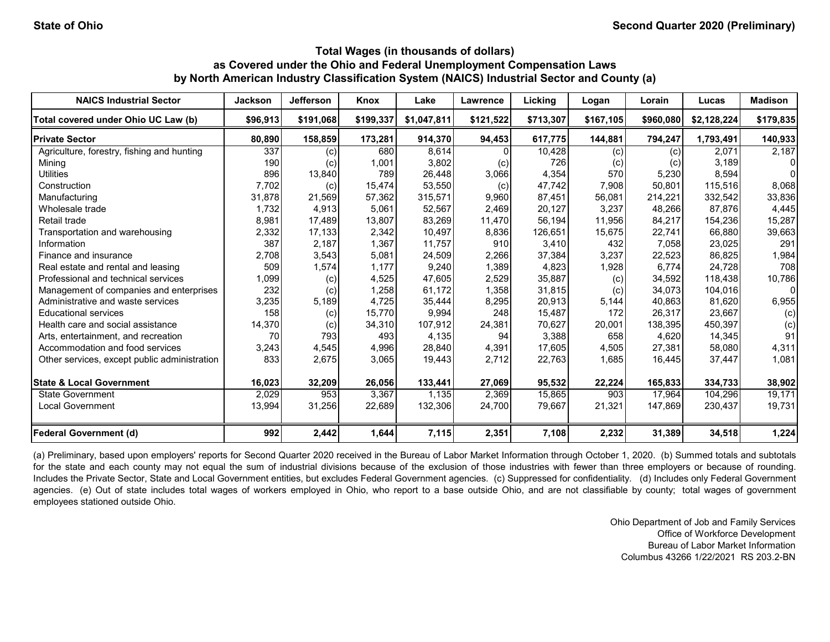| <b>NAICS Industrial Sector</b>               | <b>Jackson</b> | <b>Jefferson</b> | Knox      | Lake        | <b>Lawrence</b> | Licking   | Logan     | Lorain    | Lucas       | <b>Madison</b> |
|----------------------------------------------|----------------|------------------|-----------|-------------|-----------------|-----------|-----------|-----------|-------------|----------------|
| Total covered under Ohio UC Law (b)          | \$96,913       | \$191,068        | \$199,337 | \$1,047,811 | \$121,522       | \$713,307 | \$167,105 | \$960,080 | \$2,128,224 | \$179,835      |
| <b>Private Sector</b>                        | 80,890         | 158,859          | 173,281   | 914,370     | 94,453          | 617,775   | 144,881   | 794,247   | 1,793,491   | 140,933        |
| Agriculture, forestry, fishing and hunting   | 337            | (c)              | 680       | 8,614       |                 | 10,428    | (c)       | (c)       | 2,071       | 2,187          |
| Mining                                       | 190            | (c)              | 1,001     | 3,802       | (c)             | 726       | (c)       | (c)       | 3,189       | 0              |
| <b>Utilities</b>                             | 896            | 13,840           | 789       | 26,448      | 3,066           | 4,354     | 570       | 5,230     | 8,594       | $\Omega$       |
| Construction                                 | 7,702          | (c)              | 15,474    | 53,550      | (c)             | 47,742    | 7,908     | 50.801    | 115.516     | 8,068          |
| Manufacturing                                | 31,878         | 21,569           | 57,362    | 315,571     | 9,960           | 87,451    | 56,081    | 214.221   | 332,542     | 33,836         |
| Wholesale trade                              | 1,732          | 4,913            | 5,061     | 52,567      | 2,469           | 20,127    | 3,237     | 48,266    | 87,876      | 4,445          |
| Retail trade                                 | 8,981          | 17,489           | 13,807    | 83,269      | 11,470          | 56,194    | 11,956    | 84,217    | 154,236     | 15,287         |
| Transportation and warehousing               | 2,332          | 17,133           | 2,342     | 10,497      | 8,836           | 126,651   | 15,675    | 22,741    | 66,880      | 39,663         |
| Information                                  | 387            | 2,187            | 1,367     | 11.757      | 910             | 3,410     | 432       | 7,058     | 23,025      | 291            |
| Finance and insurance                        | 2,708          | 3,543            | 5,081     | 24,509      | 2,266           | 37,384    | 3,237     | 22,523    | 86,825      | 1,984          |
| Real estate and rental and leasing           | 509            | 1,574            | 1.177     | 9,240       | 1,389           | 4,823     | 1,928     | 6.774     | 24,728      | 708            |
| Professional and technical services          | 1,099          | (c)              | 4,525     | 47,605      | 2,529           | 35,887    | (c)       | 34,592    | 118.438     | 10,786         |
| Management of companies and enterprises      | 232            | (c)              | 1,258     | 61,172      | 1,358           | 31,815    | (c)       | 34,073    | 104,016     | 0              |
| Administrative and waste services            | 3,235          | 5,189            | 4,725     | 35,444      | 8,295           | 20,913    | 5,144     | 40,863    | 81,620      | 6,955          |
| <b>Educational services</b>                  | 158            | (c)              | 15,770    | 9,994       | 248             | 15,487    | 172       | 26,317    | 23,667      | (c)            |
| Health care and social assistance            | 14,370         | (c)              | 34,310    | 107,912     | 24,381          | 70,627    | 20,001    | 138,395   | 450,397     | (c)            |
| Arts, entertainment, and recreation          | 70             | 793              | 493       | 4,135       | 94              | 3,388     | 658       | 4.620     | 14,345      | 91             |
| Accommodation and food services              | 3,243          | 4,545            | 4,996     | 28,840      | 4,391           | 17,605    | 4,505     | 27,381    | 58,080      | 4,311          |
| Other services, except public administration | 833            | 2,675            | 3,065     | 19,443      | 2,712           | 22,763    | 1,685     | 16,445    | 37,447      | 1,081          |
| <b>State &amp; Local Government</b>          | 16,023         | 32,209           | 26,056    | 133,441     | 27,069          | 95,532    | 22,224    | 165,833   | 334,733     | 38,902         |
| <b>State Government</b>                      | 2,029          | 953              | 3,367     | 1,135       | 2,369           | 15,865    | 903       | 17,964    | 104,296     | 19,171         |
| <b>Local Government</b>                      | 13,994         | 31,256           | 22,689    | 132,306     | 24,700          | 79,667    | 21,321    | 147,869   | 230,437     | 19,731         |
| <b>Federal Government (d)</b>                | 992            | 2,442            | 1,644     | 7,115       | 2,351           | 7,108     | 2,232     | 31,389    | 34,518      | 1,224          |

(a) Preliminary, based upon employers' reports for Second Quarter 2020 received in the Bureau of Labor Market Information through October 1, 2020. (b) Summed totals and subtotals for the state and each county may not equal the sum of industrial divisions because of the exclusion of those industries with fewer than three employers or because of rounding. Includes the Private Sector, State and Local Government entities, but excludes Federal Government agencies. (c) Suppressed for confidentiality. (d) Includes only Federal Government agencies. (e) Out of state includes total wages of workers employed in Ohio, who report to a base outside Ohio, and are not classifiable by county; total wages of government employees stationed outside Ohio.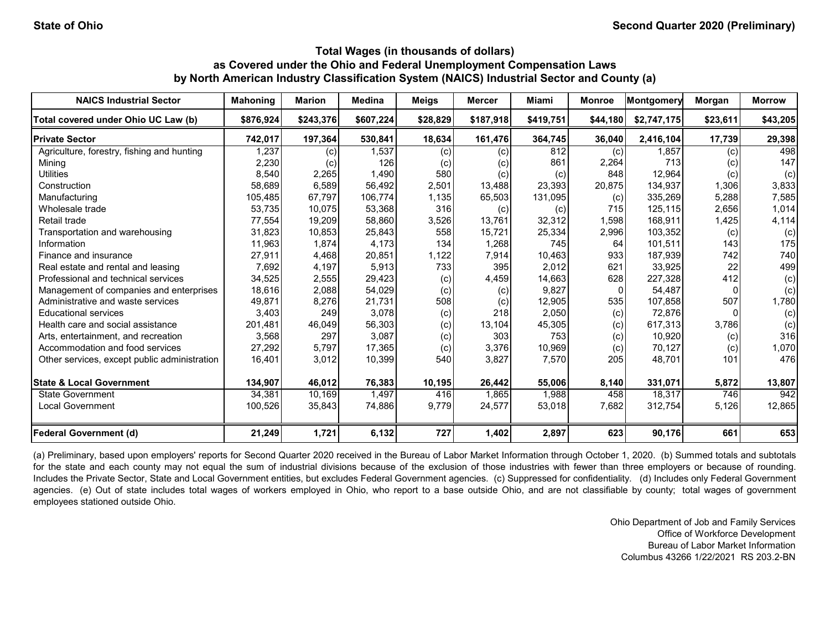| <b>NAICS Industrial Sector</b>               | <b>Mahoning</b> | <b>Marion</b> | <b>Medina</b> | <b>Meigs</b> | <b>Mercer</b> | Miami     | <b>Monroe</b> | Montgomery  | Morgan   | <b>Morrow</b> |
|----------------------------------------------|-----------------|---------------|---------------|--------------|---------------|-----------|---------------|-------------|----------|---------------|
| Total covered under Ohio UC Law (b)          | \$876,924       | \$243,376     | \$607,224     | \$28,829     | \$187,918     | \$419,751 | \$44,180      | \$2,747,175 | \$23,611 | \$43,205      |
| <b>Private Sector</b>                        | 742,017         | 197,364       | 530,841       | 18,634       | 161,476       | 364,745   | 36,040        | 2,416,104   | 17,739   | 29,398        |
| Agriculture, forestry, fishing and hunting   | 1,237           | (c)           | 1,537         | (c)          | (c)           | 812       | (c)           | 1,857       | (c)      | 498           |
| Mining                                       | 2,230           | (c)           | 126           | (c)          | (c)           | 861       | 2,264         | 713         | (c)      | 147           |
| <b>Utilities</b>                             | 8,540           | 2,265         | 1,490         | 580          | (c)           | (c)       | 848           | 12,964      | (c)      | (c)           |
| Construction                                 | 58,689          | 6,589         | 56,492        | 2,501        | 13.488        | 23,393    | 20,875        | 134.937     | 1,306    | 3,833         |
| Manufacturing                                | 105,485         | 67,797        | 106,774       | 1,135        | 65,503        | 131,095   | (c)           | 335,269     | 5,288    | 7,585         |
| Wholesale trade                              | 53,735          | 10,075        | 53,368        | 316          | (c)           | (c)       | 715           | 125,115     | 2,656    | 1,014         |
| Retail trade                                 | 77,554          | 19,209        | 58,860        | 3,526        | 13,761        | 32,312    | 1,598         | 168,911     | 1,425    | 4,114         |
| Transportation and warehousing               | 31,823          | 10,853        | 25,843        | 558          | 15,721        | 25,334    | 2,996         | 103,352     | (c)      | (c)           |
| Information                                  | 11,963          | 1,874         | 4.173         | 134          | 1,268         | 745       | 64            | 101,511     | 143      | 175           |
| Finance and insurance                        | 27,911          | 4,468         | 20,851        | 1,122        | 7,914         | 10,463    | 933           | 187,939     | 742      | 740           |
| Real estate and rental and leasing           | 7,692           | 4,197         | 5,913         | 733          | 395           | 2,012     | 621           | 33,925      | 22       | 499           |
| Professional and technical services          | 34,525          | 2,555         | 29,423        | (c)          | 4,459         | 14,663    | 628           | 227,328     | 412      | (c)           |
| Management of companies and enterprises      | 18,616          | 2,088         | 54,029        | (c)          | (c)           | 9,827     | $\Omega$      | 54,487      | $\Omega$ | (c)           |
| Administrative and waste services            | 49,871          | 8,276         | 21,731        | 508          | (c)           | 12,905    | 535           | 107,858     | 507      | 1,780         |
| <b>Educational services</b>                  | 3,403           | 249           | 3,078         | (c)          | 218           | 2,050     | (c)           | 72,876      |          | (c)           |
| Health care and social assistance            | 201,481         | 46,049        | 56,303        | (c)          | 13,104        | 45,305    | (c)           | 617,313     | 3,786    | (c)           |
| Arts, entertainment, and recreation          | 3,568           | 297           | 3,087         | (c)          | 303           | 753       | (c)           | 10.920      | (c)      | 316           |
| Accommodation and food services              | 27,292          | 5,797         | 17,365        | (c)          | 3,376         | 10,969    | (c)           | 70,127      | (c)      | 1,070         |
| Other services, except public administration | 16,401          | 3,012         | 10,399        | 540          | 3,827         | 7,570     | 205           | 48,701      | 101      | 476           |
| <b>State &amp; Local Government</b>          | 134,907         | 46,012        | 76,383        | 10,195       | 26,442        | 55,006    | 8,140         | 331,071     | 5,872    | 13,807        |
| <b>State Government</b>                      | 34,381          | 10,169        | 1,497         | 416          | 1,865         | 1,988     | 458           | 18,317      | 746      | 942           |
| <b>Local Government</b>                      | 100,526         | 35,843        | 74,886        | 9,779        | 24,577        | 53,018    | 7,682         | 312,754     | 5,126    | 12,865        |
| <b>Federal Government (d)</b>                | 21,249          | 1,721         | 6,132         | 727          | 1,402         | 2,897     | 623           | 90,176      | 661      | 653           |

(a) Preliminary, based upon employers' reports for Second Quarter 2020 received in the Bureau of Labor Market Information through October 1, 2020. (b) Summed totals and subtotals for the state and each county may not equal the sum of industrial divisions because of the exclusion of those industries with fewer than three employers or because of rounding. Includes the Private Sector, State and Local Government entities, but excludes Federal Government agencies. (c) Suppressed for confidentiality. (d) Includes only Federal Government agencies. (e) Out of state includes total wages of workers employed in Ohio, who report to a base outside Ohio, and are not classifiable by county; total wages of government employees stationed outside Ohio.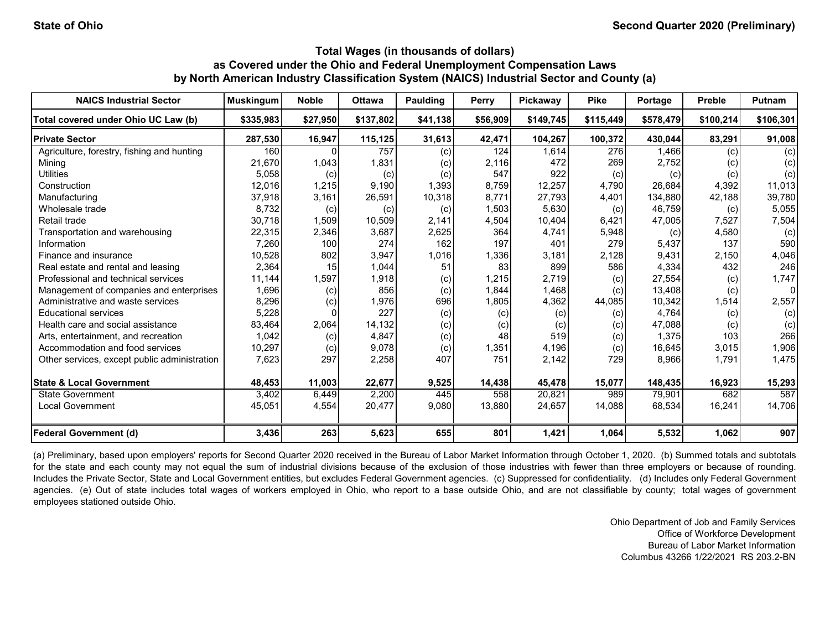| <b>NAICS Industrial Sector</b>               | <b>Muskingum</b> | <b>Noble</b> | <b>Ottawa</b> | Paulding | Perry    | Pickaway  | <b>Pike</b> | Portage   | <b>Preble</b> | Putnam    |
|----------------------------------------------|------------------|--------------|---------------|----------|----------|-----------|-------------|-----------|---------------|-----------|
| Total covered under Ohio UC Law (b)          | \$335,983        | \$27,950     | \$137,802     | \$41,138 | \$56,909 | \$149,745 | \$115,449   | \$578,479 | \$100,214     | \$106,301 |
| <b>Private Sector</b>                        | 287,530          | 16,947       | 115,125       | 31,613   | 42,471   | 104,267   | 100,372     | 430,044   | 83,291        | 91,008    |
| Agriculture, forestry, fishing and hunting   | 160              |              | 757           | (c)      | 124      | 1,614     | 276         | 1,466     | (c)           | (c)       |
| Mining                                       | 21,670           | 1,043        | 1,831         | (c)      | 2,116    | 472       | 269         | 2,752     | (c)           | (c)       |
| <b>Utilities</b>                             | 5,058            | (c)          | (c)           | (c)      | 547      | 922       | (c)         | (c)       | (c)           | (c)       |
| Construction                                 | 12,016           | 1,215        | 9,190         | 1,393    | 8,759    | 12,257    | 4,790       | 26,684    | 4,392         | 11,013    |
| Manufacturing                                | 37,918           | 3,161        | 26,591        | 10,318   | 8,771    | 27,793    | 4,401       | 134.880   | 42,188        | 39,780    |
| Wholesale trade                              | 8,732            | (c)          | (c)           | (c)      | 1,503    | 5,630     | (c)         | 46,759    | (c)           | 5,055     |
| Retail trade                                 | 30,718           | 1,509        | 10,509        | 2,141    | 4,504    | 10,404    | 6,421       | 47,005    | 7,527         | 7,504     |
| Transportation and warehousing               | 22,315           | 2,346        | 3,687         | 2,625    | 364      | 4,741     | 5,948       | (c)       | 4,580         | (c)       |
| Information                                  | 7,260            | 100          | 274           | 162      | 197      | 401       | 279         | 5,437     | 137           | 590       |
| Finance and insurance                        | 10,528           | 802          | 3,947         | 1,016    | 1,336    | 3,181     | 2,128       | 9,431     | 2,150         | 4,046     |
| Real estate and rental and leasing           | 2,364            | 15           | 1,044         | 51       | 83       | 899       | 586         | 4,334     | 432           | 246       |
| Professional and technical services          | 11,144           | 1,597        | 1,918         | (c)      | 1,215    | 2,719     | (c)         | 27,554    | (c)           | 1,747     |
| Management of companies and enterprises      | 1,696            | (c)          | 856           | (c)      | 1,844    | 1,468     | (c)         | 13,408    | (c)           | 0         |
| Administrative and waste services            | 8,296            | (c)          | 1,976         | 696      | 1,805    | 4,362     | 44,085      | 10,342    | 1,514         | 2,557     |
| <b>Educational services</b>                  | 5,228            |              | 227           | (c)      | (c)      | (c)       | (c)         | 4,764     | (c)           | (c)       |
| Health care and social assistance            | 83,464           | 2,064        | 14,132        | (c)      | (c)      | (c)       | (c)         | 47,088    | (c)           | (c)       |
| Arts, entertainment, and recreation          | 1,042            | (c)          | 4,847         | (c)      | 48       | 519       | (c)         | 1,375     | 103           | 266       |
| Accommodation and food services              | 10,297           | (c)          | 9,078         | (c)      | 1,351    | 4,196     | (c)         | 16,645    | 3,015         | 1,906     |
| Other services, except public administration | 7,623            | 297          | 2,258         | 407      | 751      | 2,142     | 729         | 8,966     | 1,791         | 1,475     |
| <b>State &amp; Local Government</b>          | 48,453           | 11,003       | 22,677        | 9,525    | 14,438   | 45,478    | 15,077      | 148,435   | 16,923        | 15,293    |
| <b>State Government</b>                      | 3,402            | 6,449        | 2,200         | 445      | 558      | 20,821    | 989         | 79,901    | 682           | 587       |
| <b>Local Government</b>                      | 45,051           | 4,554        | 20,477        | 9,080    | 13,880   | 24,657    | 14,088      | 68,534    | 16,241        | 14,706    |
| <b>Federal Government (d)</b>                | 3,436            | 263          | 5,623         | 655      | 801      | 1,421     | 1,064       | 5,532     | 1,062         | 907       |

(a) Preliminary, based upon employers' reports for Second Quarter 2020 received in the Bureau of Labor Market Information through October 1, 2020. (b) Summed totals and subtotals for the state and each county may not equal the sum of industrial divisions because of the exclusion of those industries with fewer than three employers or because of rounding. Includes the Private Sector, State and Local Government entities, but excludes Federal Government agencies. (c) Suppressed for confidentiality. (d) Includes only Federal Government agencies. (e) Out of state includes total wages of workers employed in Ohio, who report to a base outside Ohio, and are not classifiable by county; total wages of government employees stationed outside Ohio.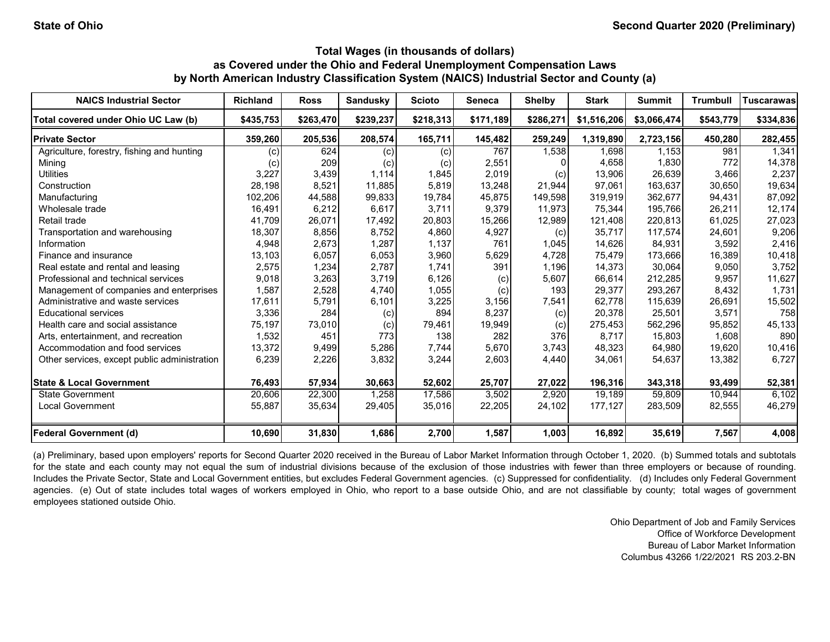| <b>NAICS Industrial Sector</b>               | <b>Richland</b> | <b>Ross</b> | <b>Sandusky</b> | <b>Scioto</b> | <b>Seneca</b> | <b>Shelby</b> | <b>Stark</b> | <b>Summit</b> | <b>Trumbull</b> | <b>Tuscarawas</b> |
|----------------------------------------------|-----------------|-------------|-----------------|---------------|---------------|---------------|--------------|---------------|-----------------|-------------------|
| Total covered under Ohio UC Law (b)          | \$435,753       | \$263,470   | \$239,237       | \$218,313     | \$171,189     | \$286,271     | \$1,516,206  | \$3,066,474   | \$543,779       | \$334,836         |
| <b>Private Sector</b>                        | 359,260         | 205,536     | 208,574         | 165,711       | 145,482       | 259,249       | 1,319,890    | 2,723,156     | 450,280         | 282,455           |
| Agriculture, forestry, fishing and hunting   | (c)             | 624         | (c)             | (c)           | 767           | 1,538         | 1.698        | 1,153         | 981             | 1,341             |
| Mining                                       | (c)             | 209         | (c)             | (c)           | 2,551         |               | 4,658        | 1,830         | 772             | 14,378            |
| <b>Utilities</b>                             | 3,227           | 3,439       | 1,114           | 1,845         | 2,019         | (c)           | 13,906       | 26,639        | 3.466           | 2,237             |
| Construction                                 | 28,198          | 8,521       | 11,885          | 5,819         | 13,248        | 21,944        | 97,061       | 163.637       | 30.650          | 19,634            |
| Manufacturing                                | 102,206         | 44,588      | 99,833          | 19.784        | 45,875        | 149,598       | 319,919      | 362.677       | 94.431          | 87,092            |
| Wholesale trade                              | 16,491          | 6,212       | 6,617           | 3,711         | 9,379         | 11,973        | 75,344       | 195,766       | 26,211          | 12,174            |
| Retail trade                                 | 41,709          | 26,071      | 17,492          | 20,803        | 15,266        | 12,989        | 121,408      | 220,813       | 61,025          | 27,023            |
| Transportation and warehousing               | 18,307          | 8,856       | 8,752           | 4,860         | 4,927         | (c)           | 35,717       | 117,574       | 24,601          | 9,206             |
| Information                                  | 4,948           | 2,673       | 1,287           | 1,137         | 761           | 1,045         | 14,626       | 84,931        | 3,592           | 2,416             |
| Finance and insurance                        | 13,103          | 6,057       | 6,053           | 3,960         | 5,629         | 4,728         | 75,479       | 173,666       | 16.389          | 10,418            |
| Real estate and rental and leasing           | 2,575           | 1,234       | 2,787           | 1,741         | 391           | 1,196         | 14,373       | 30,064        | 9,050           | 3,752             |
| Professional and technical services          | 9,018           | 3,263       | 3,719           | 6,126         | (c)           | 5,607         | 66,614       | 212,285       | 9.957           | 11,627            |
| Management of companies and enterprises      | 1,587           | 2,528       | 4,740           | 1,055         | (c)           | 193           | 29,377       | 293,267       | 8,432           | 1,731             |
| Administrative and waste services            | 17,611          | 5,791       | 6,101           | 3,225         | 3,156         | 7,541         | 62,778       | 115,639       | 26,691          | 15,502            |
| <b>Educational services</b>                  | 3,336           | 284         | (c)             | 894           | 8,237         | (c)           | 20,378       | 25,501        | 3,571           | 758               |
| Health care and social assistance            | 75,197          | 73,010      | (c)             | 79,461        | 19,949        | (c)           | 275,453      | 562,296       | 95,852          | 45,133            |
| Arts, entertainment, and recreation          | 1,532           | 451         | 773             | 138           | 282           | 376           | 8.717        | 15,803        | 1.608           | 890               |
| Accommodation and food services              | 13,372          | 9,499       | 5,286           | 7,744         | 5,670         | 3,743         | 48,323       | 64,980        | 19,620          | 10,416            |
| Other services, except public administration | 6,239           | 2,226       | 3,832           | 3,244         | 2,603         | 4.440         | 34,061       | 54,637        | 13,382          | 6,727             |
| <b>State &amp; Local Government</b>          | 76,493          | 57,934      | 30,663          | 52,602        | 25,707        | 27,022        | 196,316      | 343,318       | 93,499          | 52,381            |
| <b>State Government</b>                      | 20,606          | 22,300      | 1,258           | 17,586        | 3,502         | 2,920         | 19,189       | 59,809        | 10,944          | 6,102             |
| <b>Local Government</b>                      | 55,887          | 35,634      | 29,405          | 35,016        | 22,205        | 24,102        | 177,127      | 283,509       | 82,555          | 46,279            |
| <b>Federal Government (d)</b>                | 10,690          | 31,830      | 1,686           | 2,700         | 1,587         | 1,003         | 16,892       | 35,619        | 7,567           | 4,008             |

(a) Preliminary, based upon employers' reports for Second Quarter 2020 received in the Bureau of Labor Market Information through October 1, 2020. (b) Summed totals and subtotals for the state and each county may not equal the sum of industrial divisions because of the exclusion of those industries with fewer than three employers or because of rounding. Includes the Private Sector, State and Local Government entities, but excludes Federal Government agencies. (c) Suppressed for confidentiality. (d) Includes only Federal Government agencies. (e) Out of state includes total wages of workers employed in Ohio, who report to a base outside Ohio, and are not classifiable by county; total wages of government employees stationed outside Ohio.